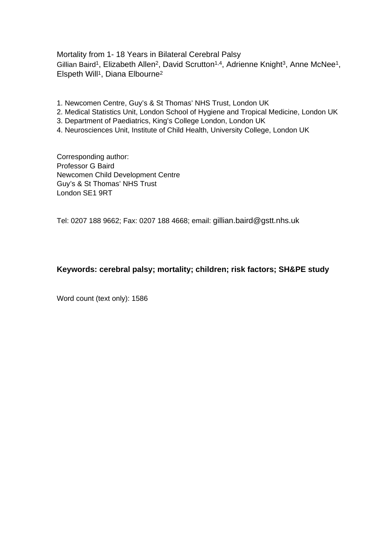Mortality from 1- 18 Years in Bilateral Cerebral Palsy Gillian Baird<sup>1</sup>, Elizabeth Allen<sup>2</sup>, David Scrutton<sup>1,4</sup>, Adrienne Knight<sup>3</sup>, Anne McNee<sup>1</sup>, Elspeth Will<sup>1</sup>, Diana Elbourne<sup>2</sup>

- 1. Newcomen Centre, Guy's & St Thomas' NHS Trust, London UK
- 2. Medical Statistics Unit, London School of Hygiene and Tropical Medicine, London UK
- 3. Department of Paediatrics, King's College London, London UK
- 4. Neurosciences Unit, Institute of Child Health, University College, London UK

Corresponding author: Professor G Baird Newcomen Child Development Centre Guy's & St Thomas' NHS Trust London SE1 9RT

Tel: 0207 188 9662; Fax: 0207 188 4668; email: gillian.baird@gstt.nhs.uk

# **Keywords: cerebral palsy; mortality; children; risk factors; SH&PE study**

Word count (text only): 1586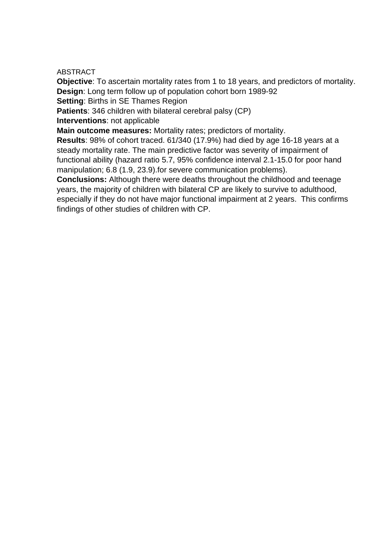### ABSTRACT

**Objective**: To ascertain mortality rates from 1 to 18 years, and predictors of mortality. **Design**: Long term follow up of population cohort born 1989-92

**Setting**: Births in SE Thames Region

**Patients**: 346 children with bilateral cerebral palsy (CP)

**Interventions**: not applicable

**Main outcome measures:** Mortality rates; predictors of mortality.

**Results**: 98% of cohort traced. 61/340 (17.9%) had died by age 16-18 years at a steady mortality rate. The main predictive factor was severity of impairment of functional ability (hazard ratio 5.7, 95% confidence interval 2.1-15.0 for poor hand manipulation; 6.8 (1.9, 23.9).for severe communication problems).

**Conclusions:** Although there were deaths throughout the childhood and teenage years, the majority of children with bilateral CP are likely to survive to adulthood, especially if they do not have major functional impairment at 2 years. This confirms findings of other studies of children with CP.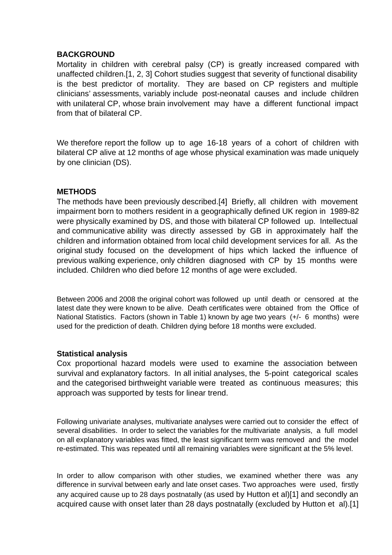# **BACKGROUND**

Mortality in children with cerebral palsy (CP) is greatly increased compared with unaffected children.[1, 2, 3] Cohort studies suggest that severity of functional disability is the best predictor of mortality. They are based on CP registers and multiple clinicians' assessments, variably include post-neonatal causes and include children with unilateral CP, whose brain involvement may have a different functional impact from that of bilateral CP.

We therefore report the follow up to age 16-18 years of a cohort of children with bilateral CP alive at 12 months of age whose physical examination was made uniquely by one clinician (DS).

# **METHODS**

The methods have been previously described.[4] Briefly, all children with movement impairment born to mothers resident in a geographically defined UK region in 1989-82 were physically examined by DS, and those with bilateral CP followed up. Intellectual and communicative ability was directly assessed by GB in approximately half the children and information obtained from local child development services for all. As the original study focused on the development of hips which lacked the influence of previous walking experience, only children diagnosed with CP by 15 months were included. Children who died before 12 months of age were excluded.

Between 2006 and 2008 the original cohort was followed up until death or censored at the latest date they were known to be alive. Death certificates were obtained from the Office of National Statistics. Factors (shown in Table 1) known by age two years (+/- 6 months) were used for the prediction of death. Children dying before 18 months were excluded.

# **Statistical analysis**

Cox proportional hazard models were used to examine the association between survival and explanatory factors. In all initial analyses, the 5-point categorical scales and the categorised birthweight variable were treated as continuous measures; this approach was supported by tests for linear trend.

Following univariate analyses, multivariate analyses were carried out to consider the effect of several disabilities. In order to select the variables for the multivariate analysis, a full model on all explanatory variables was fitted, the least significant term was removed and the model re-estimated. This was repeated until all remaining variables were significant at the 5% level.

In order to allow comparison with other studies, we examined whether there was any difference in survival between early and late onset cases. Two approaches were used, firstly any acquired cause up to 28 days postnatally (as used by Hutton et al)[1] and secondly an acquired cause with onset later than 28 days postnatally (excluded by Hutton et al).[1]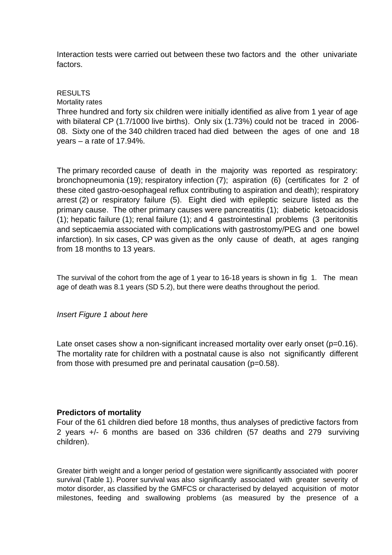Interaction tests were carried out between these two factors and the other univariate factors.

# RESULTS

#### Mortality rates

Three hundred and forty six children were initially identified as alive from 1 year of age with bilateral CP (1.7/1000 live births). Only six (1.73%) could not be traced in 2006- 08. Sixty one of the 340 children traced had died between the ages of one and 18 years – a rate of 17.94%.

The primary recorded cause of death in the majority was reported as respiratory: bronchopneumonia (19); respiratory infection (7); aspiration (6) (certificates for 2 of these cited gastro-oesophageal reflux contributing to aspiration and death); respiratory arrest (2) or respiratory failure (5). Eight died with epileptic seizure listed as the primary cause. The other primary causes were pancreatitis (1); diabetic ketoacidosis (1); hepatic failure (1); renal failure (1); and 4 gastrointestinal problems (3 peritonitis and septicaemia associated with complications with gastrostomy/PEG and one bowel infarction). In six cases, CP was given as the only cause of death, at ages ranging from 18 months to 13 years.

The survival of the cohort from the age of 1 year to 16-18 years is shown in fig 1. The mean age of death was 8.1 years (SD 5.2), but there were deaths throughout the period.

# Insert Figure 1 about here

Late onset cases show a non-significant increased mortality over early onset (p=0.16). The mortality rate for children with a postnatal cause is also not significantly different from those with presumed pre and perinatal causation (p=0.58).

# **Predictors of mortality**

Four of the 61 children died before 18 months, thus analyses of predictive factors from 2 years +/- 6 months are based on 336 children (57 deaths and 279 surviving children).

Greater birth weight and a longer period of gestation were significantly associated with poorer survival (Table 1). Poorer survival was also significantly associated with greater severity of motor disorder, as classified by the GMFCS or characterised by delayed acquisition of motor milestones, feeding and swallowing problems (as measured by the presence of a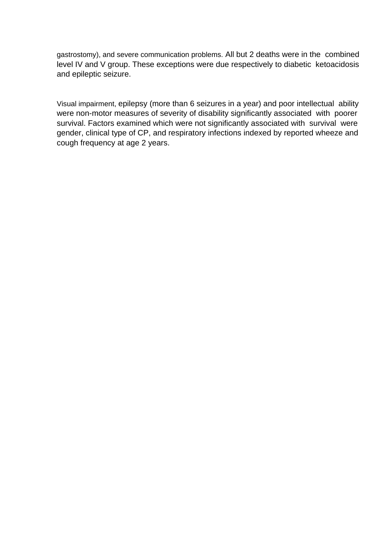gastrostomy), and severe communication problems. All but 2 deaths were in the combined level IV and V group. These exceptions were due respectively to diabetic ketoacidosis and epileptic seizure.

Visual impairment, epilepsy (more than 6 seizures in a year) and poor intellectual ability were non-motor measures of severity of disability significantly associated with poorer survival. Factors examined which were not significantly associated with survival were gender, clinical type of CP, and respiratory infections indexed by reported wheeze and cough frequency at age 2 years.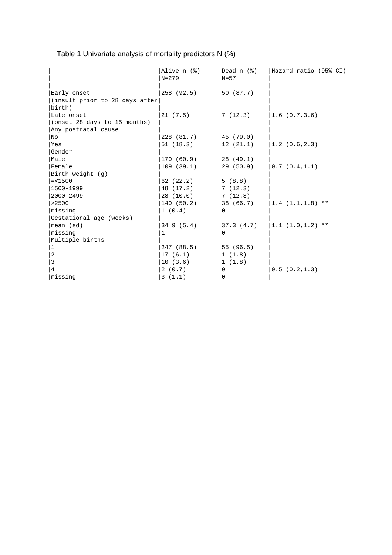|  | Table 1 Univariate analysis of mortality predictors N (%) |  |
|--|-----------------------------------------------------------|--|
|  |                                                           |  |

|                                 | Alive n (%)<br>$N=279$ | Dead $n$ $(%)$<br>$N = 57$ | Hazard ratio (95% CI) |
|---------------------------------|------------------------|----------------------------|-----------------------|
| Early onset                     | 258 (92.5)             | 50 (87.7)                  |                       |
| (insult prior to 28 days after) |                        |                            |                       |
| birth)                          |                        |                            |                       |
| Late onset                      | 21(7.5)                | 7(12.3)                    | 1.6(0.7,3.6)          |
| (onset 28 days to 15 months)    |                        |                            |                       |
| Any postnatal cause             |                        |                            |                       |
| No                              | 228 (81.7)             | 45 (79.0)                  |                       |
| Yes                             | 51(18.3)               | 12(21.1)                   | 1.2(0.6, 2.3)         |
| Gender                          |                        |                            |                       |
| Male                            | 170(60.9)              | 28 (49.1)                  |                       |
| Female                          | 109(39.1)              | 29(50.9)                   | 0.7(0.4,1.1)          |
| Birth weight (q)                |                        |                            |                       |
| $= < 1500$                      | 62 (22.2)              | 5(8.8)                     |                       |
| 1500-1999                       | 48 (17.2)              | 7(12.3)                    |                       |
| 2000-2499                       | 28(10.0)               | 7(12.3)                    |                       |
| >2500                           | 140(50.2)              | 38 (66.7)                  | $ 1.4(1.1,1.8)$ **    |
| missing                         | 1(0.4)                 | $\Omega$                   |                       |
| Gestational age (weeks)         |                        |                            |                       |
| mean (sd)                       | 34.9(5.4)              | 37.3(4.7)                  | $ 1.1(1.0,1.2)$ **    |
| missing                         | 1                      | $\Omega$                   |                       |
| Multiple births                 |                        |                            |                       |
| $\vert$ 1                       | 247 (88.5)             | 55(96.5)                   |                       |
| 2                               | 17(6.1)                | 1(1.8)                     |                       |
| 3                               | 10(3.6)                | 1(1.8)                     |                       |
| $\overline{4}$                  | 2(0.7)                 | 0                          | 0.5(0.2, 1.3)         |
| missing                         | 3(1.1)                 | $\mathbf 0$                |                       |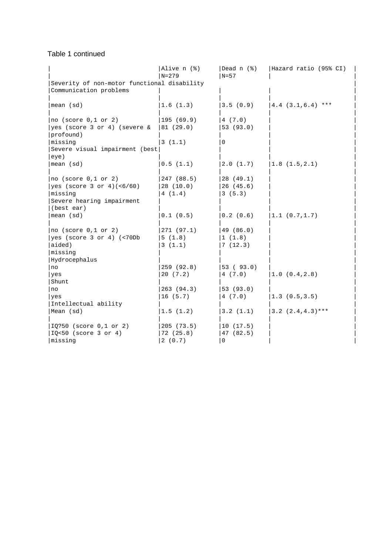### Table 1 continued

|                                                 | Alive n (%) | Dead n (%)      | Hazard ratio (95% CI) |
|-------------------------------------------------|-------------|-----------------|-----------------------|
|                                                 | $N=279$     | $N=57$          |                       |
| Severity of non-motor functional disability     |             |                 |                       |
| Communication problems                          |             |                 |                       |
| mean (sd)                                       | 1.6(1.3)    | 3.5(0.9)        | $ 4.4 (3.1, 6.4)$ *** |
|                                                 |             |                 |                       |
| $ no$ (score $0,1$ or $2)$ )                    | 195(69.9)   | 4(7.0)          |                       |
| $ yes$ (score 3 or 4) (severe $\&$ $ 81$ (29.0) |             | 53 (93.0)       |                       |
| profound)                                       |             |                 |                       |
| missing                                         | 3(1.1)      | $\mathbf 0$     |                       |
| Severe visual impairment (best                  |             |                 |                       |
| eye)                                            |             |                 |                       |
| mean (sd)                                       | 0.5(1.1)    | 2.0(1.7)        | 1.8(1.5, 2.1)         |
|                                                 |             |                 |                       |
| $ no$ (score $0,1$ or $2)$ )                    | 247 (88.5)  | 28 (49.1)       |                       |
| yes (score 3 or 4)(<6/60)                       | 28(10.0)    | 26(45.6)        |                       |
| Imissing                                        | 4(1.4)      | 3(5.3)          |                       |
| Severe hearing impairment                       |             |                 |                       |
| (best ear)                                      |             |                 |                       |
| mean (sd)                                       | 0.1(0.5)    | 0.2(0.6)        | 1.1 (0.7, 1.7)        |
|                                                 |             |                 |                       |
| $ no$ (score $0,1$ or $2)$ )                    | 271(97.1)   | 49(86.0)        |                       |
| $ yes$ (score 3 or 4) (<70Db                    | 5(1.8)      | 1(1.8)          |                       |
| aided)                                          | 3(1.1)      | 7(12.3)         |                       |
| missing                                         |             |                 |                       |
| Hydrocephalus                                   |             |                 |                       |
| no                                              | 259 (92.8)  | $ 53 \; (93.0)$ |                       |
| yes                                             | 20(7.2)     | 4(7.0)          | 1.0 (0.4, 2.8)        |
| Shunt                                           |             |                 |                       |
| no                                              | 263(94.3)   | 53(93.0)        |                       |
| yes                                             | 16(5.7)     | 4(7.0)          | 1.3(0.5,3.5)          |
| Intellectual ability                            |             |                 |                       |
| Mean (sd)                                       | 1.5(1.2)    | 3.2(1.1)        | $ 3.2(2.4, 4.3)***$   |
|                                                 |             |                 |                       |
| $ IQ:50$ (score 0,1 or 2)                       | 205(73.5)   | 10(17.5)        |                       |
| $ IO<50$ (score 3 or 4)                         | 72(25.8)    | 47 (82.5)       |                       |
| missing                                         | 2(0.7)      | 0               |                       |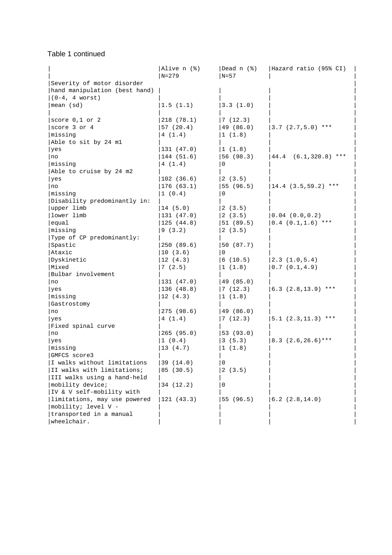# Table 1 continued

|                               | Alive n (%)<br>$N = 279$ | Dead n (%)<br>$N=57$ | Hazard ratio (95% CI)   |
|-------------------------------|--------------------------|----------------------|-------------------------|
| Severity of motor disorder    |                          |                      |                         |
| hand manipulation (best hand) |                          |                      |                         |
| $(0-4, 4$ worst)              |                          |                      |                         |
| mean (sd)                     | 1.5(1.1)                 | 3.3(1.0)             |                         |
|                               |                          |                      |                         |
| score $0,1$ or $2$            | 218 (78.1)               | 7(12.3)              |                         |
| score 3 or 4                  | 57(20.4)                 | 49 (86.0)            | $ 3.7(2.7,5.0)$ ***     |
| missing                       | 4(1.4)                   | 1(1.8)               |                         |
| Able to sit by 24 ml          |                          |                      |                         |
| yes                           | 131(47.0)                | 1(1.8)               |                         |
| no                            | 144 (51.6)               | 56 (98.3)            | $ 44.4 (6.1,320.8)$ *** |
| missing                       | 4(1.4)                   | 0                    |                         |
| Able to cruise by 24 m2       |                          |                      |                         |
| yes                           | 102(36.6)                | 2(3.5)               |                         |
| no                            | 176(63.1)                | 55 (96.5)            | $14.4 (3.5, 59.2)$ ***  |
| missing                       | 1(0.4)                   | 0                    |                         |
| Disability predominantly in:  |                          |                      |                         |
| upper limb                    | 14(5.0)                  | 2(3.5)               |                         |
| lower limb                    | 131(47.0)                | 2(3.5)               | $0.04$ $(0.0, 0.2)$     |
| equal                         | 125(44.8)                | 51(89.5)             | $0.4$ $(0.1, 1.6)$ ***  |
| missing                       | 9(3.2)                   | 2(3.5)               |                         |
| Type of CP predominantly:     |                          |                      |                         |
| Spastic                       | 250(89.6)                | 50 (87.7)            |                         |
| Ataxic                        | 10(3.6)                  | 0                    |                         |
| Dyskinetic                    | 12(4.3)                  | 6(10.5)              | 2.3(1.0, 5.4)           |
| Mixed                         | 7(2.5)                   | 1(1.8)               | 0.7(0.1, 4.9)           |
| Bulbar involvement            |                          |                      |                         |
| no                            | 131(47.0)                | 49 (85.0)            |                         |
| yes                           | 136 (48.8)               | 7(12.3)              | $6.3$ $(2.8, 13.9)$ *** |
| missing                       | 12(4.3)                  | 1(1.8)               |                         |
| Gastrostomy                   |                          |                      |                         |
| no                            | 275(98.6)                | 49(86.0)             |                         |
| yes                           | 4(1.4)                   | 7(12.3)              | $ 5.1 (2.3, 11.3) **$   |
| Fixed spinal curve            |                          |                      |                         |
| no                            | 265(95.0)                | 53 (93.0)            |                         |
| yes                           | 1(0.4)                   | 3(5.3)               | $8.3$ $(2.6, 26.6)$ *** |
| missing                       | 13(4.7)                  | 1(1.8)               |                         |
| GMFCS score3                  |                          |                      |                         |
| I walks without limitations   | 39 (14.0)                | 0                    |                         |
| II walks with limitations;    | 85 (30.5)                | 2(3.5)               |                         |
| III walks using a hand-held   |                          |                      |                         |
| mobility device;              | 34 (12.2)                | 0                    |                         |
| IV & V self-mobility with     |                          |                      |                         |
| limitations, may use powered  | 121(43.3)                | 55 (96.5)            | 6.2(2.8, 14.0)          |
| mobility; level V -           |                          |                      |                         |
| transported in a manual       |                          |                      |                         |
| wheelchair.                   |                          |                      |                         |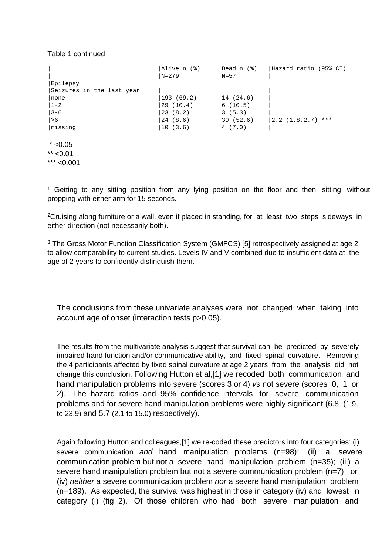#### Table 1 continued

|                           | Alive $n$ $(%)$ | Dead n (%) | Hazard ratio (95% CI) |  |
|---------------------------|-----------------|------------|-----------------------|--|
|                           | $ N=279$        | $N=57$     |                       |  |
| Epilepsy                  |                 |            |                       |  |
| Seizures in the last year |                 |            |                       |  |
| none                      | 193 (69.2)      | 14(24.6)   |                       |  |
| $ 1 - 2 $                 | 29(10.4)        | 6(10.5)    |                       |  |
| $3 - 6$                   | 23(8.2)         | 3(5.3)     |                       |  |
| >6                        | 24(8.6)         | 30(52.6)   | $ 2.2(1.8, 2.7)$ ***  |  |
| missing                   | 10(3.6)         | 4(7.0)     |                       |  |
| $*$ <0.05                 |                 |            |                       |  |
| $**$ <0.01                |                 |            |                       |  |

\*\*\* <0.001

<sup>1</sup> Getting to any sitting position from any lying position on the floor and then sitting without propping with either arm for 15 seconds.

<sup>2</sup>Cruising along furniture or a wall, even if placed in standing, for at least two steps sideways in either direction (not necessarily both).

<sup>3</sup> The Gross Motor Function Classification System (GMFCS) [5] retrospectively assigned at age 2 to allow comparability to current studies. Levels IV and V combined due to insufficient data at the age of 2 years to confidently distinguish them.

The conclusions from these univariate analyses were not changed when taking into account age of onset (interaction tests p>0.05).

The results from the multivariate analysis suggest that survival can be predicted by severely impaired hand function and/or communicative ability, and fixed spinal curvature. Removing the 4 participants affected by fixed spinal curvature at age 2 years from the analysis did not change this conclusion. Following Hutton et al,[1] we recoded both communication and hand manipulation problems into severe (scores 3 or 4) vs not severe (scores 0, 1 or 2). The hazard ratios and 95% confidence intervals for severe communication problems and for severe hand manipulation problems were highly significant (6.8 (1.9, to 23.9) and 5.7 (2.1 to 15.0) respectively).

Again following Hutton and colleagues,[1] we re-coded these predictors into four categories: (i) severe communication and hand manipulation problems (n=98); (ii) a severe communication problem but not a severe hand manipulation problem (n=35); (iii) a severe hand manipulation problem but not a severe communication problem (n=7); or (iv) *neither* a severe communication problem *nor* a severe hand manipulation problem (n=189). As expected, the survival was highest in those in category (iv) and lowest in category (i) (fig 2). Of those children who had both severe manipulation and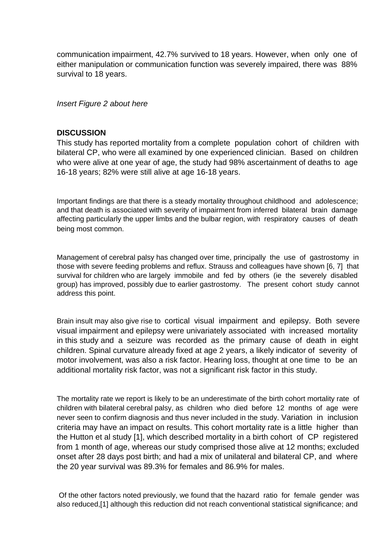communication impairment, 42.7% survived to 18 years. However, when only one of either manipulation or communication function was severely impaired, there was 88% survival to 18 years.

### Insert Figure 2 about here

#### **DISCUSSION**

This study has reported mortality from a complete population cohort of children with bilateral CP, who were all examined by one experienced clinician. Based on children who were alive at one year of age, the study had 98% ascertainment of deaths to age 16-18 years; 82% were still alive at age 16-18 years.

Important findings are that there is a steady mortality throughout childhood and adolescence; and that death is associated with severity of impairment from inferred bilateral brain damage affecting particularly the upper limbs and the bulbar region, with respiratory causes of death being most common.

Management of cerebral palsy has changed over time, principally the use of gastrostomy in those with severe feeding problems and reflux. Strauss and colleagues have shown [6, 7] that survival for children who are largely immobile and fed by others (ie the severely disabled group) has improved, possibly due to earlier gastrostomy. The present cohort study cannot address this point.

Brain insult may also give rise to cortical visual impairment and epilepsy. Both severe visual impairment and epilepsy were univariately associated with increased mortality in this study and a seizure was recorded as the primary cause of death in eight children. Spinal curvature already fixed at age 2 years, a likely indicator of severity of motor involvement, was also a risk factor. Hearing loss, thought at one time to be an additional mortality risk factor, was not a significant risk factor in this study.

The mortality rate we report is likely to be an underestimate of the birth cohort mortality rate of children with bilateral cerebral palsy, as children who died before 12 months of age were never seen to confirm diagnosis and thus never included in the study. Variation in inclusion criteria may have an impact on results. This cohort mortality rate is a little higher than the Hutton et al study [1], which described mortality in a birth cohort of CP registered from 1 month of age, whereas our study comprised those alive at 12 months; excluded onset after 28 days post birth; and had a mix of unilateral and bilateral CP, and where the 20 year survival was 89.3% for females and 86.9% for males.

 Of the other factors noted previously, we found that the hazard ratio for female gender was also reduced,[1] although this reduction did not reach conventional statistical significance; and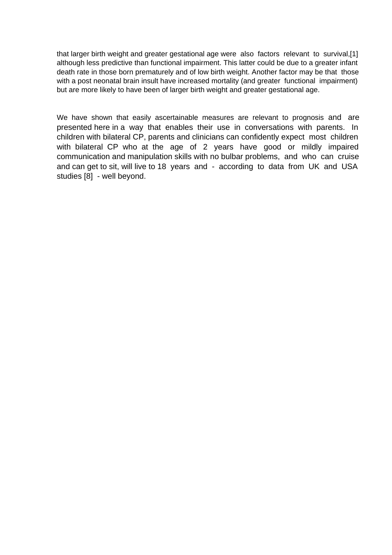that larger birth weight and greater gestational age were also factors relevant to survival,[1] although less predictive than functional impairment. This latter could be due to a greater infant death rate in those born prematurely and of low birth weight. Another factor may be that those with a post neonatal brain insult have increased mortality (and greater functional impairment) but are more likely to have been of larger birth weight and greater gestational age.

We have shown that easily ascertainable measures are relevant to prognosis and are presented here in a way that enables their use in conversations with parents. In children with bilateral CP, parents and clinicians can confidently expect most children with bilateral CP who at the age of 2 years have good or mildly impaired communication and manipulation skills with no bulbar problems, and who can cruise and can get to sit, will live to 18 years and - according to data from UK and USA studies [8] - well beyond.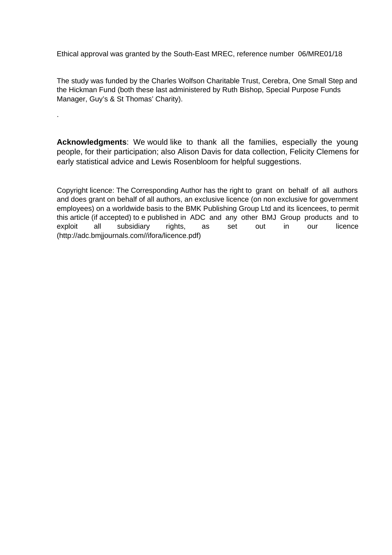Ethical approval was granted by the South-East MREC, reference number 06/MRE01/18

.

The study was funded by the Charles Wolfson Charitable Trust, Cerebra, One Small Step and the Hickman Fund (both these last administered by Ruth Bishop, Special Purpose Funds Manager, Guy's & St Thomas' Charity).

**Acknowledgments**: We would like to thank all the families, especially the young people, for their participation; also Alison Davis for data collection, Felicity Clemens for early statistical advice and Lewis Rosenbloom for helpful suggestions.

Copyright licence: The Corresponding Author has the right to grant on behalf of all authors and does grant on behalf of all authors, an exclusive licence (on non exclusive for government employees) on a worldwide basis to the BMK Publishing Group Ltd and its licencees, to permit this article (if accepted) to e published in ADC and any other BMJ Group products and to exploit all subsidiary rights, as set out in our licence (http://adc.bmjjournals.com//ifora/licence.pdf)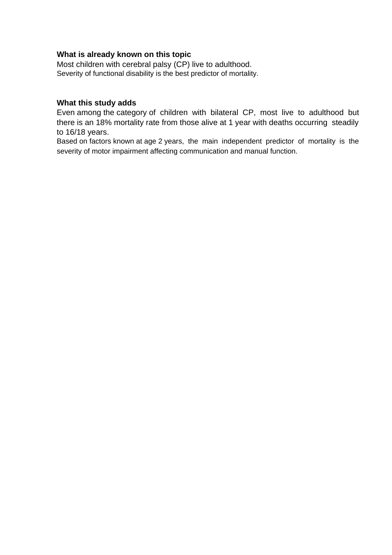## **What is already known on this topic**

Most children with cerebral palsy (CP) live to adulthood. Severity of functional disability is the best predictor of mortality.

#### **What this study adds**

Even among the category of children with bilateral CP, most live to adulthood but there is an 18% mortality rate from those alive at 1 year with deaths occurring steadily to 16/18 years.

Based on factors known at age 2 years, the main independent predictor of mortality is the severity of motor impairment affecting communication and manual function.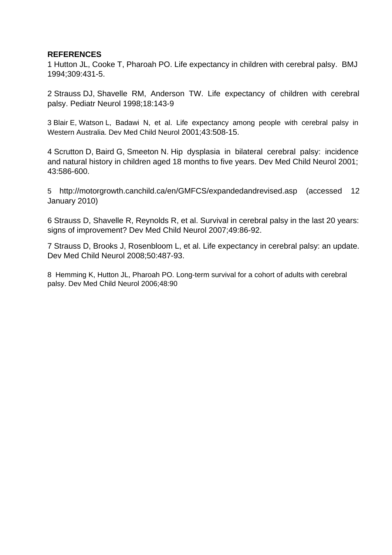# **REFERENCES**

1 Hutton JL, Cooke T, Pharoah PO. Life expectancy in children with cerebral palsy. BMJ 1994;309:431-5.

2 Strauss DJ, Shavelle RM, Anderson TW. Life expectancy of children with cerebral palsy. Pediatr Neurol 1998;18:143-9

3 Blair E, Watson L, Badawi N, et al. Life expectancy among people with cerebral palsy in Western Australia. Dev Med Child Neurol 2001;43:508-15.

4 Scrutton D, Baird G, Smeeton N. Hip dysplasia in bilateral cerebral palsy: incidence and natural history in children aged 18 months to five years. Dev Med Child Neurol 2001; 43:586-600.

5 http://motorgrowth.canchild.ca/en/GMFCS/expandedandrevised.asp (accessed 12 January 2010)

6 Strauss D, Shavelle R, Reynolds R, et al. Survival in cerebral palsy in the last 20 years: signs of improvement? Dev Med Child Neurol 2007;49:86-92.

7 Strauss D, Brooks J, Rosenbloom L, et al. Life expectancy in cerebral palsy: an update. Dev Med Child Neurol 2008;50:487-93.

8 Hemming K, Hutton JL, Pharoah PO. Long-term survival for a cohort of adults with cerebral palsy. Dev Med Child Neurol 2006;48:90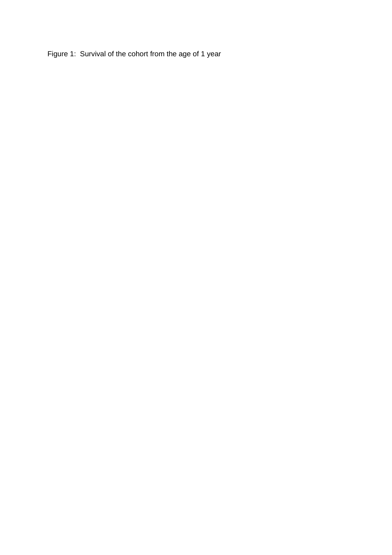Figure 1: Survival of the cohort from the age of 1 year